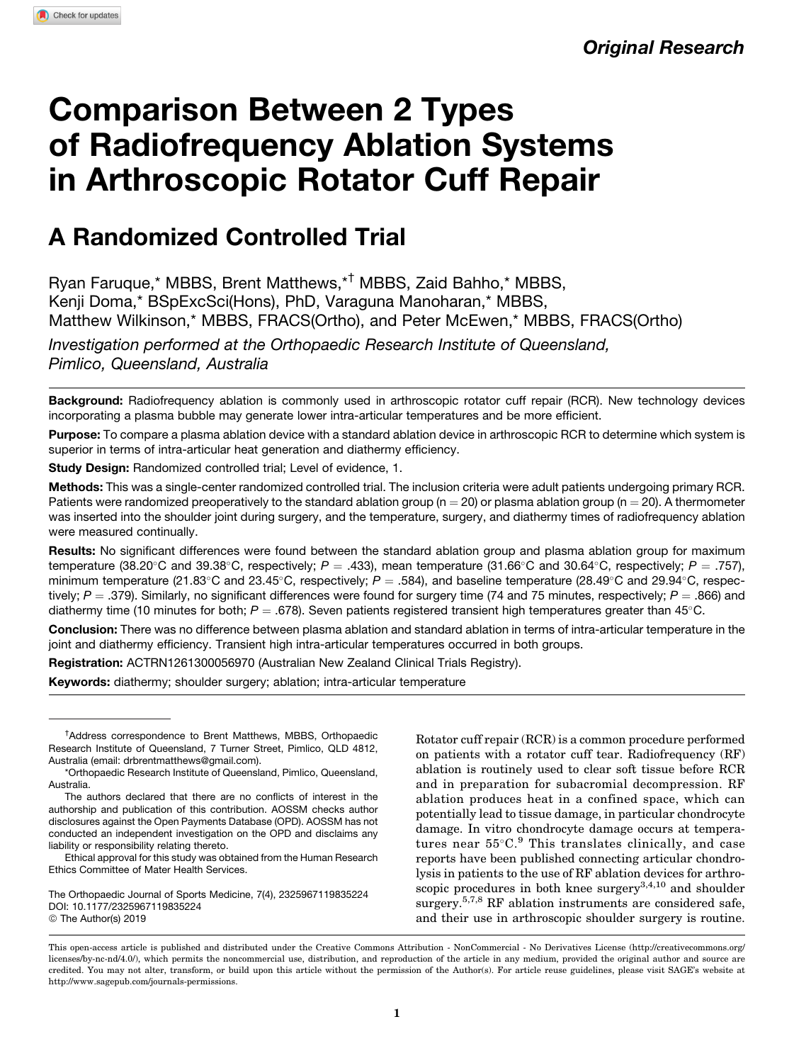Original Research

# Comparison Between 2 Types of Radiofrequency Ablation Systems in Arthroscopic Rotator Cuff Repair

# A Randomized Controlled Trial

Ryan Faruque,\* MBBS, Brent Matthews,\*† MBBS, Zaid Bahho,\* MBBS, Kenji Doma,\* BSpExcSci(Hons), PhD, Varaguna Manoharan,\* MBBS, Matthew Wilkinson,\* MBBS, FRACS(Ortho), and Peter McEwen,\* MBBS, FRACS(Ortho) Investigation performed at the Orthopaedic Research Institute of Queensland, Pimlico, Queensland, Australia

Background: Radiofrequency ablation is commonly used in arthroscopic rotator cuff repair (RCR). New technology devices incorporating a plasma bubble may generate lower intra-articular temperatures and be more efficient.

Purpose: To compare a plasma ablation device with a standard ablation device in arthroscopic RCR to determine which system is superior in terms of intra-articular heat generation and diathermy efficiency.

Study Design: Randomized controlled trial; Level of evidence, 1.

Methods: This was a single-center randomized controlled trial. The inclusion criteria were adult patients undergoing primary RCR. Patients were randomized preoperatively to the standard ablation group ( $n = 20$ ) or plasma ablation group ( $n = 20$ ). A thermometer was inserted into the shoulder joint during surgery, and the temperature, surgery, and diathermy times of radiofrequency ablation were measured continually.

Results: No significant differences were found between the standard ablation group and plasma ablation group for maximum temperature (38.20°C and 39.38°C, respectively;  $P=.433$ ), mean temperature (31.66°C and 30.64°C, respectively;  $P=.757$ ), minimum temperature (21.83°C and 23.45°C, respectively;  $P = .584$ ), and baseline temperature (28.49°C and 29.94°C, respectively;  $P = 0.379$ . Similarly, no significant differences were found for surgery time (74 and 75 minutes, respectively;  $P = 0.866$ ) and diathermy time (10 minutes for both;  $P = .678$ ). Seven patients registered transient high temperatures greater than 45°C.

Conclusion: There was no difference between plasma ablation and standard ablation in terms of intra-articular temperature in the joint and diathermy efficiency. Transient high intra-articular temperatures occurred in both groups.

Registration: ACTRN1261300056970 (Australian New Zealand Clinical Trials Registry).

Keywords: diathermy; shoulder surgery; ablation; intra-articular temperature

The Orthopaedic Journal of Sports Medicine, 7(4), 2325967119835224 [DOI: 10.1177/2325967119835224](https://doi.org/10.1177/2325967119835224) © The Author(s) 2019

Rotator cuff repair (RCR) is a common procedure performed on patients with a rotator cuff tear. Radiofrequency (RF) ablation is routinely used to clear soft tissue before RCR and in preparation for subacromial decompression. RF ablation produces heat in a confined space, which can potentially lead to tissue damage, in particular chondrocyte damage. In vitro chondrocyte damage occurs at temperatures near 55°C.<sup>9</sup> This translates clinically, and case reports have been published connecting articular chondrolysis in patients to the use of RF ablation devices for arthroscopic procedures in both knee surgery $3,4,10$  and shoulder surgery.<sup>5,7,8</sup> RF ablation instruments are considered safe, and their use in arthroscopic shoulder surgery is routine.

<sup>†</sup> Address correspondence to Brent Matthews, MBBS, Orthopaedic Research Institute of Queensland, 7 Turner Street, Pimlico, QLD 4812, Australia (email: [drbrentmatthews@gmail.com\)](mailto:drbrentmatthews@gmail.com).

<sup>\*</sup>Orthopaedic Research Institute of Queensland, Pimlico, Queensland, Australia.

The authors declared that there are no conflicts of interest in the authorship and publication of this contribution. AOSSM checks author disclosures against the Open Payments Database (OPD). AOSSM has not conducted an independent investigation on the OPD and disclaims any liability or responsibility relating thereto.

Ethical approval for this study was obtained from the Human Research Ethics Committee of Mater Health Services.

This open-access article is published and distributed under the Creative Commons Attribution - NonCommercial - No Derivatives License (http://creativecommons.org/ licenses/by-nc-nd/4.0/), which permits the noncommercial use, distribution, and reproduction of the article in any medium, provided the original author and source are credited. You may not alter, transform, or build upon this article without the permission of the Author(s). For article reuse guidelines, please visit SAGE's website at http://www.sagepub.com/journals-permissions.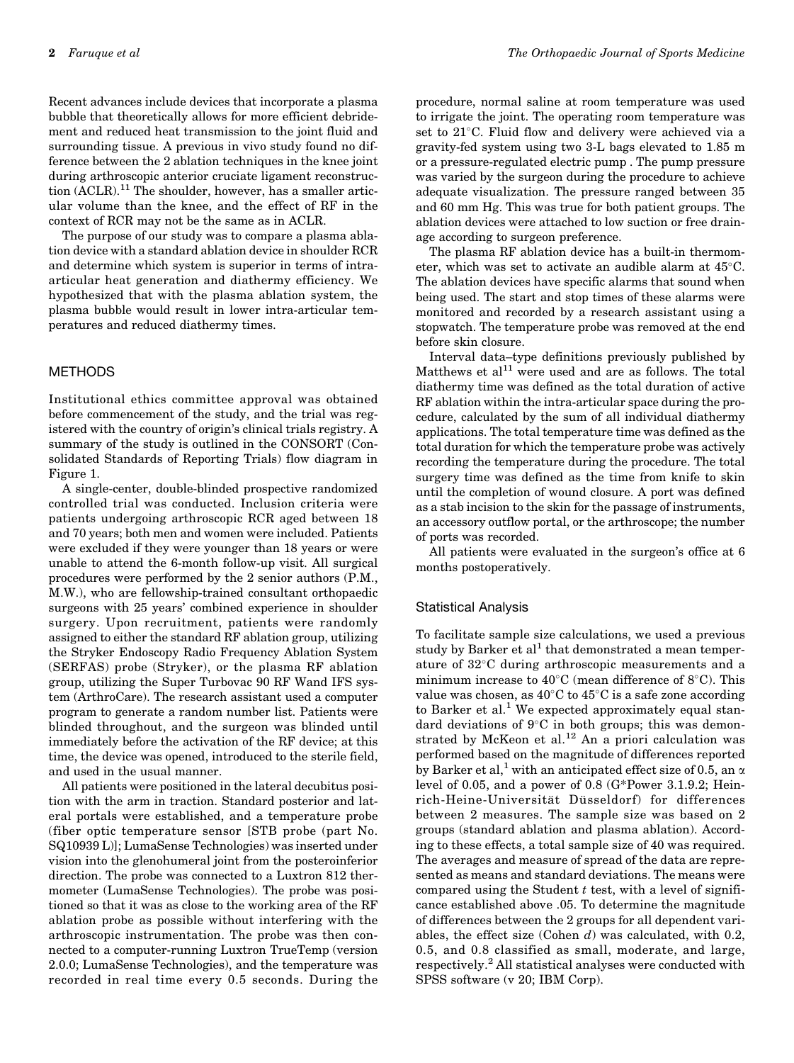Recent advances include devices that incorporate a plasma bubble that theoretically allows for more efficient debridement and reduced heat transmission to the joint fluid and surrounding tissue. A previous in vivo study found no difference between the 2 ablation techniques in the knee joint during arthroscopic anterior cruciate ligament reconstruction  $(ACLR).$ <sup>11</sup> The shoulder, however, has a smaller articular volume than the knee, and the effect of RF in the context of RCR may not be the same as in ACLR.

The purpose of our study was to compare a plasma ablation device with a standard ablation device in shoulder RCR and determine which system is superior in terms of intraarticular heat generation and diathermy efficiency. We hypothesized that with the plasma ablation system, the plasma bubble would result in lower intra-articular temperatures and reduced diathermy times.

#### METHODS

Institutional ethics committee approval was obtained before commencement of the study, and the trial was registered with the country of origin's clinical trials registry. A summary of the study is outlined in the CONSORT (Consolidated Standards of Reporting Trials) flow diagram in Figure 1.

A single-center, double-blinded prospective randomized controlled trial was conducted. Inclusion criteria were patients undergoing arthroscopic RCR aged between 18 and 70 years; both men and women were included. Patients were excluded if they were younger than 18 years or were unable to attend the 6-month follow-up visit. All surgical procedures were performed by the 2 senior authors (P.M., M.W.), who are fellowship-trained consultant orthopaedic surgeons with 25 years' combined experience in shoulder surgery. Upon recruitment, patients were randomly assigned to either the standard RF ablation group, utilizing the Stryker Endoscopy Radio Frequency Ablation System (SERFAS) probe (Stryker), or the plasma RF ablation group, utilizing the Super Turbovac 90 RF Wand IFS system (ArthroCare). The research assistant used a computer program to generate a random number list. Patients were blinded throughout, and the surgeon was blinded until immediately before the activation of the RF device; at this time, the device was opened, introduced to the sterile field, and used in the usual manner.

All patients were positioned in the lateral decubitus position with the arm in traction. Standard posterior and lateral portals were established, and a temperature probe (fiber optic temperature sensor [STB probe (part No. SQ10939 L)]; LumaSense Technologies) was inserted under vision into the glenohumeral joint from the posteroinferior direction. The probe was connected to a Luxtron 812 thermometer (LumaSense Technologies). The probe was positioned so that it was as close to the working area of the RF ablation probe as possible without interfering with the arthroscopic instrumentation. The probe was then connected to a computer-running Luxtron TrueTemp (version 2.0.0; LumaSense Technologies), and the temperature was recorded in real time every 0.5 seconds. During the procedure, normal saline at room temperature was used to irrigate the joint. The operating room temperature was set to 21°C. Fluid flow and delivery were achieved via a gravity-fed system using two 3-L bags elevated to 1.85 m or a pressure-regulated electric pump . The pump pressure was varied by the surgeon during the procedure to achieve adequate visualization. The pressure ranged between 35 and 60 mm Hg. This was true for both patient groups. The ablation devices were attached to low suction or free drainage according to surgeon preference.

The plasma RF ablation device has a built-in thermometer, which was set to activate an audible alarm at 45°C. The ablation devices have specific alarms that sound when being used. The start and stop times of these alarms were monitored and recorded by a research assistant using a stopwatch. The temperature probe was removed at the end before skin closure.

Interval data–type definitions previously published by Matthews et  $al<sup>11</sup>$  were used and are as follows. The total diathermy time was defined as the total duration of active RF ablation within the intra-articular space during the procedure, calculated by the sum of all individual diathermy applications. The total temperature time was defined as the total duration for which the temperature probe was actively recording the temperature during the procedure. The total surgery time was defined as the time from knife to skin until the completion of wound closure. A port was defined as a stab incision to the skin for the passage of instruments, an accessory outflow portal, or the arthroscope; the number of ports was recorded.

All patients were evaluated in the surgeon's office at 6 months postoperatively.

#### Statistical Analysis

To facilitate sample size calculations, we used a previous study by Barker et al<sup>1</sup> that demonstrated a mean temperature of 32-C during arthroscopic measurements and a minimum increase to  $40^{\circ}$ C (mean difference of 8 $^{\circ}$ C). This value was chosen, as  $40^{\circ}\mathrm{C}$  to  $45^{\circ}\mathrm{C}$  is a safe zone according to Barker et al.<sup>1</sup> We expected approximately equal standard deviations of 9°C in both groups; this was demonstrated by McKeon et al.<sup>12</sup> An a priori calculation was performed based on the magnitude of differences reported by Barker et al,<sup>1</sup> with an anticipated effect size of 0.5, an  $\alpha$ level of 0.05, and a power of 0.8 (G\*Power 3.1.9.2; Heinrich-Heine-Universität Düsseldorf) for differences between 2 measures. The sample size was based on 2 groups (standard ablation and plasma ablation). According to these effects, a total sample size of 40 was required. The averages and measure of spread of the data are represented as means and standard deviations. The means were compared using the Student  $t$  test, with a level of significance established above .05. To determine the magnitude of differences between the 2 groups for all dependent variables, the effect size (Cohen  $d$ ) was calculated, with 0.2, 0.5, and 0.8 classified as small, moderate, and large, respectively.<sup>2</sup> All statistical analyses were conducted with SPSS software (v 20; IBM Corp).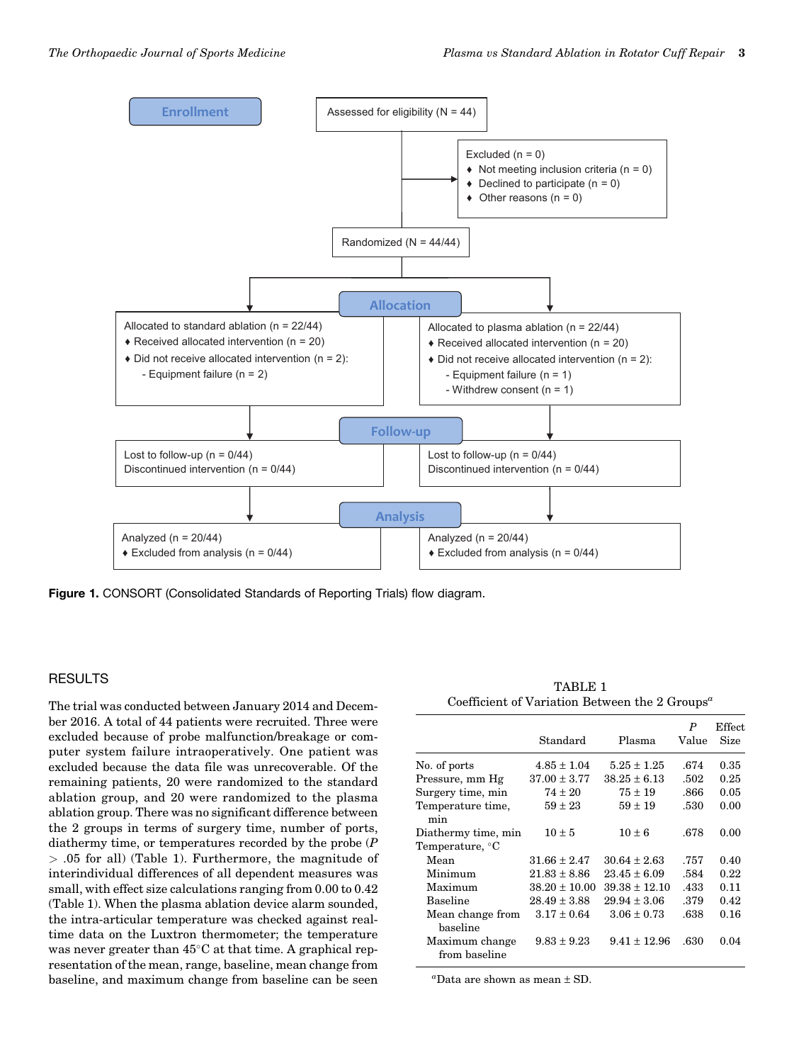

Figure 1. CONSORT (Consolidated Standards of Reporting Trials) flow diagram.

# **RESULTS**

The trial was conducted between January 2014 and December 2016. A total of 44 patients were recruited. Three were excluded because of probe malfunction/breakage or computer system failure intraoperatively. One patient was excluded because the data file was unrecoverable. Of the remaining patients, 20 were randomized to the standard ablation group, and 20 were randomized to the plasma ablation group. There was no significant difference between the 2 groups in terms of surgery time, number of ports, diathermy time, or temperatures recorded by the probe (P > .05 for all) (Table 1). Furthermore, the magnitude of interindividual differences of all dependent measures was small, with effect size calculations ranging from 0.00 to 0.42 (Table 1). When the plasma ablation device alarm sounded, the intra-articular temperature was checked against realtime data on the Luxtron thermometer; the temperature was never greater than  $45^{\circ}$ C at that time. A graphical representation of the mean, range, baseline, mean change from baseline, and maximum change from baseline can be seen

TABLE 1 Coefficient of Variation Between the 2 Groups<sup> $a$ </sup>

|                                 | Standard          | Plasma            | P<br>Value | Effect.<br>Size |
|---------------------------------|-------------------|-------------------|------------|-----------------|
| No. of ports                    | $4.85 \pm 1.04$   | $5.25 \pm 1.25$   | .674       | 0.35            |
| Pressure, mm Hg                 | $37.00 \pm 3.77$  | $38.25 \pm 6.13$  | .502       | 0.25            |
| Surgery time, min               | $74 \pm 20$       | $75 \pm 19$       | .866       | 0.05            |
| Temperature time.<br>min        | $59 \pm 23$       | $59 \pm 19$       | .530       | 0.00            |
| Diathermy time, min             | $10 \pm 5$        | $10 \pm 6$        | .678       | 0.00            |
| Temperature, °C                 |                   |                   |            |                 |
| Mean                            | $31.66 \pm 2.47$  | $30.64 \pm 2.63$  | .757       | 0.40            |
| Minimum                         | $21.83 \pm 8.86$  | $23.45 \pm 6.09$  | .584       | 0.22            |
| Maximum                         | $38.20 \pm 10.00$ | $39.38 \pm 12.10$ | .433       | 0.11            |
| <b>Baseline</b>                 | $28.49 \pm 3.88$  | $29.94 \pm 3.06$  | .379       | 0.42            |
| Mean change from<br>baseline    | $3.17 \pm 0.64$   | $3.06 \pm 0.73$   | .638       | 0.16            |
| Maximum change<br>from baseline | $9.83 \pm 9.23$   | $9.41 \pm 12.96$  | .630       | 0.04            |

a Data are shown as mean ± SD.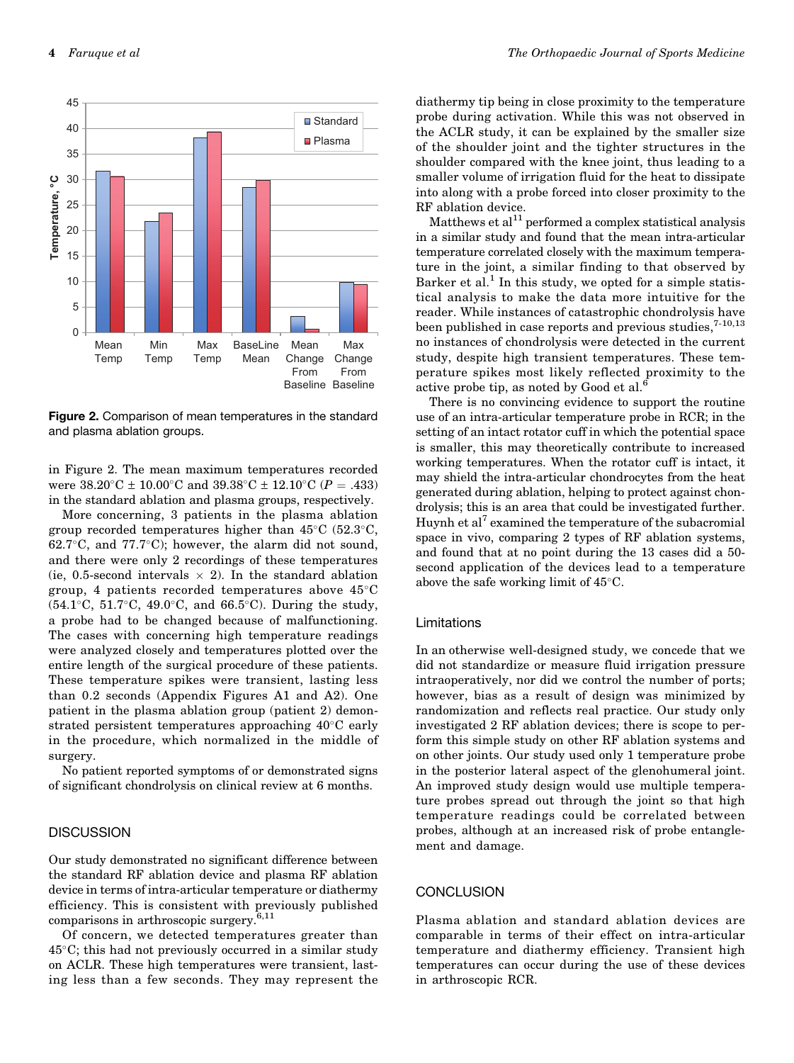

Figure 2. Comparison of mean temperatures in the standard and plasma ablation groups.

in Figure 2. The mean maximum temperatures recorded were  $38.20^{\circ}\text{C} \pm 10.00^{\circ}\text{C}$  and  $39.38^{\circ}\text{C} \pm 12.10^{\circ}\text{C}$  (P = .433) in the standard ablation and plasma groups, respectively.

More concerning, 3 patients in the plasma ablation group recorded temperatures higher than  $45^{\circ}$ C (52.3 $^{\circ}$ C,  $62.7^{\circ}$ C, and  $77.7^{\circ}$ C); however, the alarm did not sound, and there were only 2 recordings of these temperatures (ie, 0.5-second intervals  $\times$  2). In the standard ablation group, 4 patients recorded temperatures above 45-C  $(54.1^{\circ} \text{C}, 51.7^{\circ} \text{C}, 49.0^{\circ} \text{C}, \text{ and } 66.5^{\circ} \text{C}).$  During the study, a probe had to be changed because of malfunctioning. The cases with concerning high temperature readings were analyzed closely and temperatures plotted over the entire length of the surgical procedure of these patients. These temperature spikes were transient, lasting less than 0.2 seconds (Appendix Figures A1 and A2). One patient in the plasma ablation group (patient 2) demonstrated persistent temperatures approaching 40°C early in the procedure, which normalized in the middle of surgery.

No patient reported symptoms of or demonstrated signs of significant chondrolysis on clinical review at 6 months.

## **DISCUSSION**

Our study demonstrated no significant difference between the standard RF ablation device and plasma RF ablation device in terms of intra-articular temperature or diathermy efficiency. This is consistent with previously published comparisons in arthroscopic surgery.6,11

Of concern, we detected temperatures greater than 45-C; this had not previously occurred in a similar study on ACLR. These high temperatures were transient, lasting less than a few seconds. They may represent the diathermy tip being in close proximity to the temperature probe during activation. While this was not observed in the ACLR study, it can be explained by the smaller size of the shoulder joint and the tighter structures in the shoulder compared with the knee joint, thus leading to a smaller volume of irrigation fluid for the heat to dissipate into along with a probe forced into closer proximity to the RF ablation device.

Matthews et  $al<sup>11</sup>$  performed a complex statistical analysis in a similar study and found that the mean intra-articular temperature correlated closely with the maximum temperature in the joint, a similar finding to that observed by Barker et al.<sup>1</sup> In this study, we opted for a simple statistical analysis to make the data more intuitive for the reader. While instances of catastrophic chondrolysis have been published in case reports and previous studies,  $7-10,13$ no instances of chondrolysis were detected in the current study, despite high transient temperatures. These temperature spikes most likely reflected proximity to the active probe tip, as noted by Good et al.<sup>6</sup>

There is no convincing evidence to support the routine use of an intra-articular temperature probe in RCR; in the setting of an intact rotator cuff in which the potential space is smaller, this may theoretically contribute to increased working temperatures. When the rotator cuff is intact, it may shield the intra-articular chondrocytes from the heat generated during ablation, helping to protect against chondrolysis; this is an area that could be investigated further. Huynh et al<sup>7</sup> examined the temperature of the subacromial space in vivo, comparing 2 types of RF ablation systems, and found that at no point during the 13 cases did a 50 second application of the devices lead to a temperature above the safe working limit of  $45^{\circ}$ C.

#### Limitations

In an otherwise well-designed study, we concede that we did not standardize or measure fluid irrigation pressure intraoperatively, nor did we control the number of ports; however, bias as a result of design was minimized by randomization and reflects real practice. Our study only investigated 2 RF ablation devices; there is scope to perform this simple study on other RF ablation systems and on other joints. Our study used only 1 temperature probe in the posterior lateral aspect of the glenohumeral joint. An improved study design would use multiple temperature probes spread out through the joint so that high temperature readings could be correlated between probes, although at an increased risk of probe entanglement and damage.

### **CONCLUSION**

Plasma ablation and standard ablation devices are comparable in terms of their effect on intra-articular temperature and diathermy efficiency. Transient high temperatures can occur during the use of these devices in arthroscopic RCR.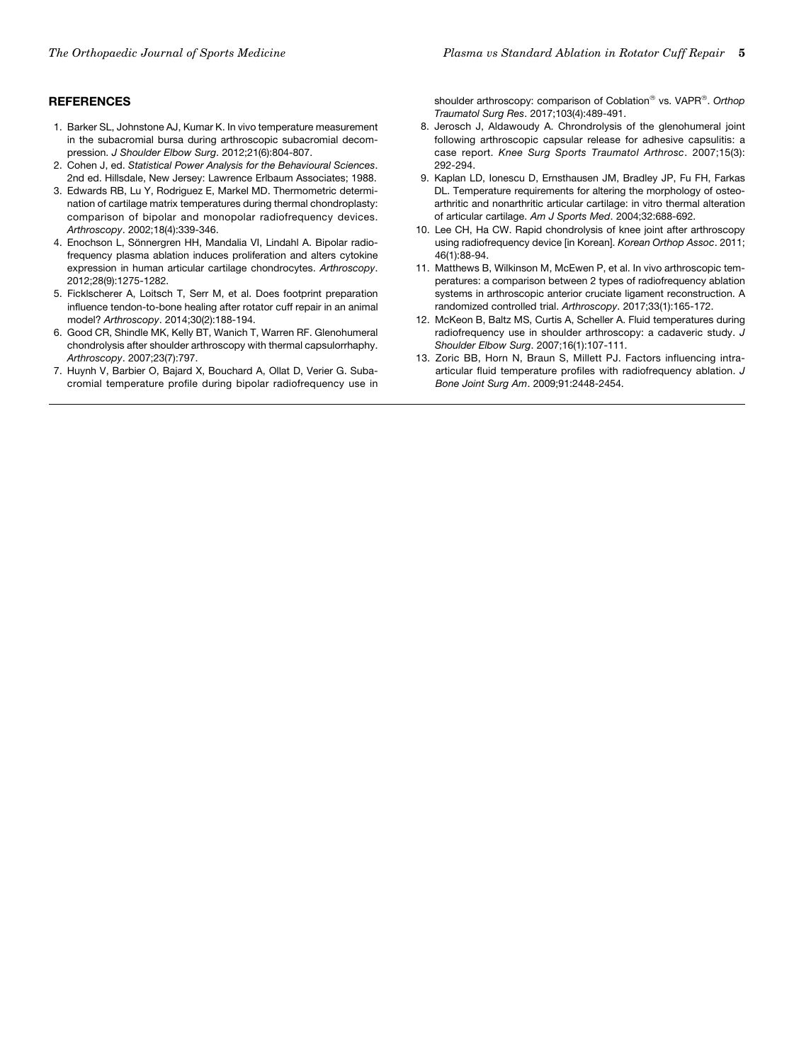# **REFERENCES**

- 1. Barker SL, Johnstone AJ, Kumar K. In vivo temperature measurement in the subacromial bursa during arthroscopic subacromial decompression. J Shoulder Elbow Surg. 2012;21(6):804-807.
- 2. Cohen J, ed. Statistical Power Analysis for the Behavioural Sciences. 2nd ed. Hillsdale, New Jersey: Lawrence Erlbaum Associates; 1988.
- 3. Edwards RB, Lu Y, Rodriguez E, Markel MD. Thermometric determination of cartilage matrix temperatures during thermal chondroplasty: comparison of bipolar and monopolar radiofrequency devices. Arthroscopy. 2002;18(4):339-346.
- 4. Enochson L, Sönnergren HH, Mandalia VI, Lindahl A. Bipolar radiofrequency plasma ablation induces proliferation and alters cytokine expression in human articular cartilage chondrocytes. Arthroscopy. 2012;28(9):1275-1282.
- 5. Ficklscherer A, Loitsch T, Serr M, et al. Does footprint preparation influence tendon-to-bone healing after rotator cuff repair in an animal model? Arthroscopy. 2014;30(2):188-194.
- 6. Good CR, Shindle MK, Kelly BT, Wanich T, Warren RF. Glenohumeral chondrolysis after shoulder arthroscopy with thermal capsulorrhaphy. Arthroscopy. 2007;23(7):797.
- 7. Huynh V, Barbier O, Bajard X, Bouchard A, Ollat D, Verier G. Subacromial temperature profile during bipolar radiofrequency use in

shoulder arthroscopy: comparison of Coblation® vs. VAPR®. Orthop Traumatol Surg Res. 2017;103(4):489-491.

- 8. Jerosch J, Aldawoudy A. Chrondrolysis of the glenohumeral joint following arthroscopic capsular release for adhesive capsulitis: a case report. Knee Surg Sports Traumatol Arthrosc. 2007;15(3): 292-294.
- 9. Kaplan LD, Ionescu D, Ernsthausen JM, Bradley JP, Fu FH, Farkas DL. Temperature requirements for altering the morphology of osteoarthritic and nonarthritic articular cartilage: in vitro thermal alteration of articular cartilage. Am J Sports Med. 2004;32:688-692.
- 10. Lee CH, Ha CW. Rapid chondrolysis of knee joint after arthroscopy using radiofrequency device [in Korean]. Korean Orthop Assoc. 2011; 46(1):88-94.
- 11. Matthews B, Wilkinson M, McEwen P, et al. In vivo arthroscopic temperatures: a comparison between 2 types of radiofrequency ablation systems in arthroscopic anterior cruciate ligament reconstruction. A randomized controlled trial. Arthroscopy. 2017;33(1):165-172.
- 12. McKeon B, Baltz MS, Curtis A, Scheller A. Fluid temperatures during radiofrequency use in shoulder arthroscopy: a cadaveric study. J Shoulder Elbow Surg. 2007;16(1):107-111.
- 13. Zoric BB, Horn N, Braun S, Millett PJ. Factors influencing intraarticular fluid temperature profiles with radiofrequency ablation. J Bone Joint Surg Am. 2009;91:2448-2454.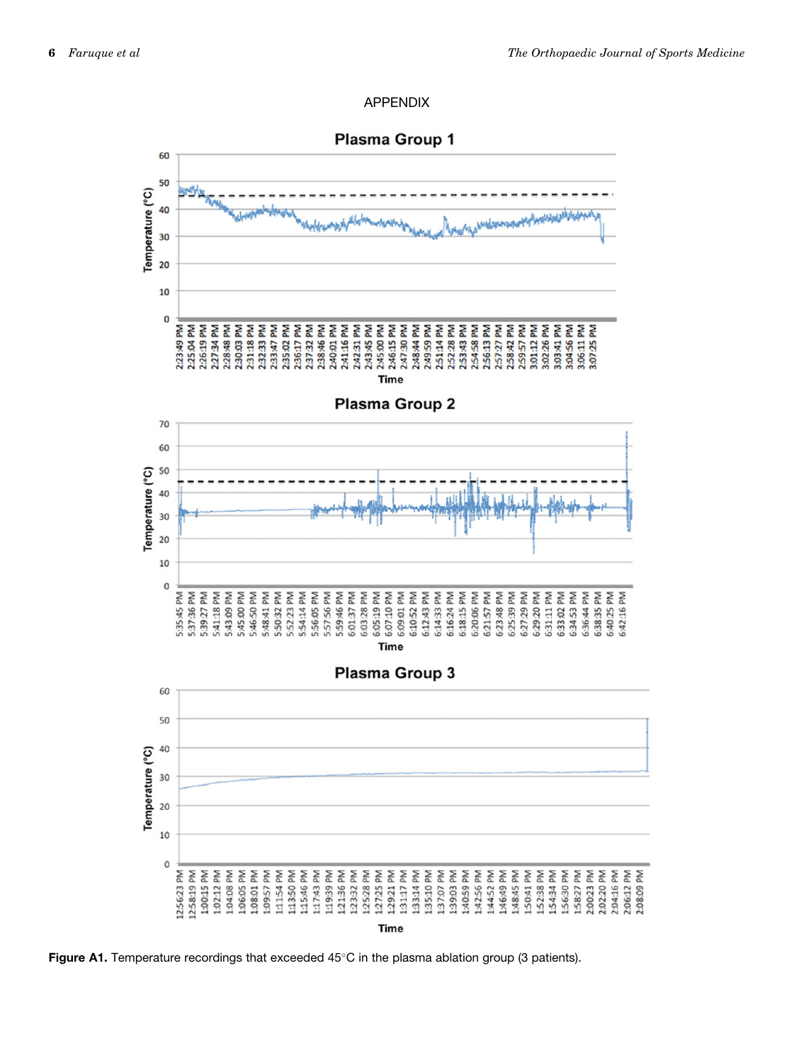



Figure A1. Temperature recordings that exceeded  $45^{\circ}$ C in the plasma ablation group (3 patients).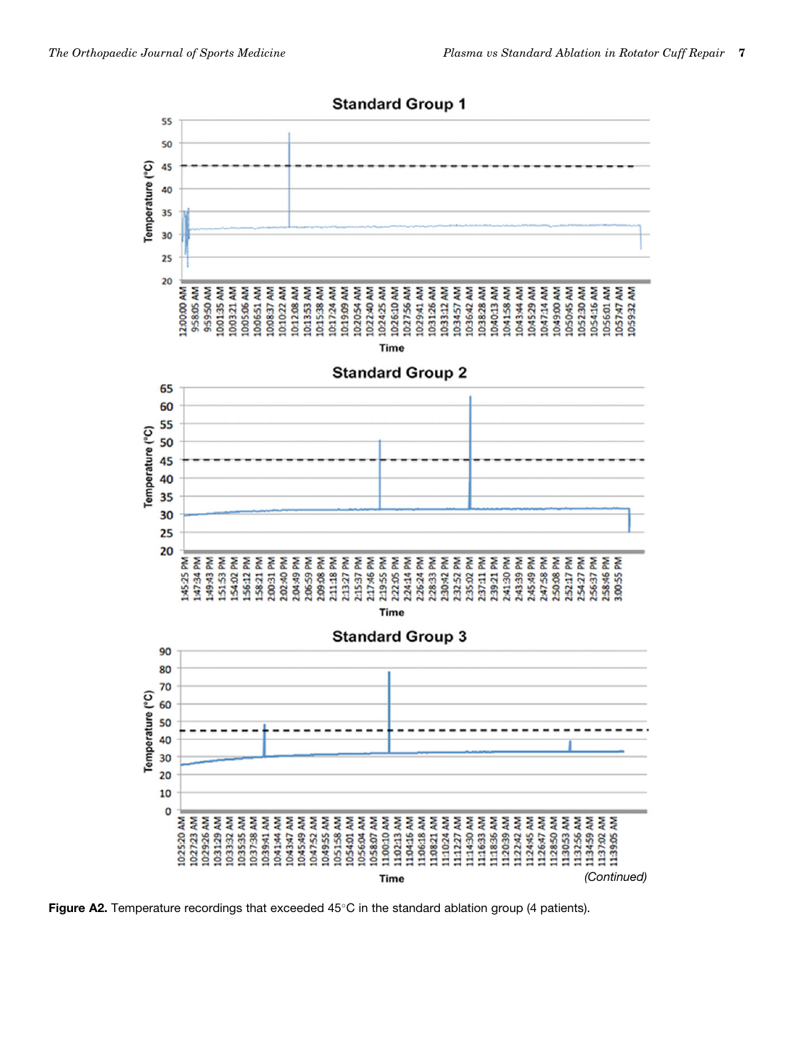

Figure A2. Temperature recordings that exceeded  $45^{\circ}$ C in the standard ablation group (4 patients).